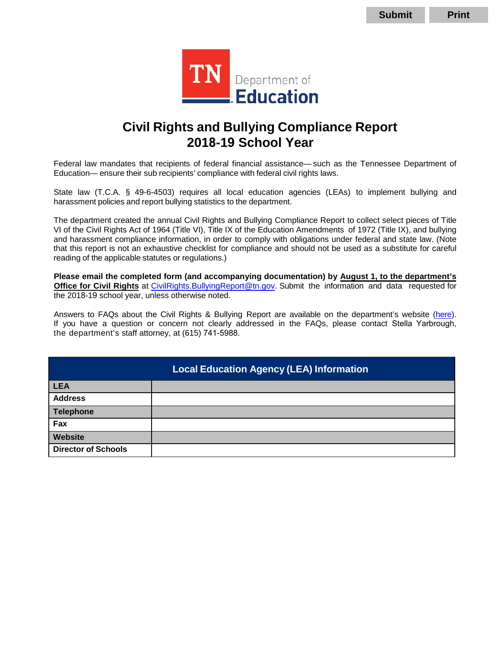

# **Civil Rights and Bullying Compliance Report 2018-19 School Year**

Federal law mandates that recipients of federal financial assistance— such as the Tennessee Department of Education— ensure their sub recipients' compliance with federal civil rights laws.

State law (T.C.A. § 49-6-4503) requires all local education agencies (LEAs) to implement bullying and harassment policies and report bullying statistics to the department.

 The department created the annual Civil Rights and Bullying Compliance Report to collect select pieces of Title VI of the Civil Rights Act of 1964 (Title VI), Title IX of the Education Amendments of 1972 (Title IX), and bullying and harassment compliance information, in order to comply with obligations under federal and state law. (Note that this report is not an exhaustive checklist for compliance and should not be used as a substitute for careful reading of the applicable statutes or regulations.)

**Please email the completed form (and accompanying documentation) by August 1, to the department's Office for Civil Rights** at [CivilRights.BullyingReport@tn.gov.](mailto:CivilRights.BullyingReport@tn.gov) Submit the information and data requested for the 2018-19 school year, unless otherwise noted.

Answers to FAQs about the Civil Rights & Bullying Report are available on the department's website [\(here\)](https://www.tn.gov/education/legal-services/civil-rights/civil-rights-bullying-compliance-report.html). If you have a question or concern not clearly addressed in the FAQs, please contact Stella Yarbrough, the department's staff attorney, at (615) 741-5988.

|                            | <b>Local Education Agency (LEA) Information</b> |
|----------------------------|-------------------------------------------------|
| <b>LEA</b>                 |                                                 |
| <b>Address</b>             |                                                 |
| <b>Telephone</b>           |                                                 |
| Fax                        |                                                 |
| <b>Website</b>             |                                                 |
| <b>Director of Schools</b> |                                                 |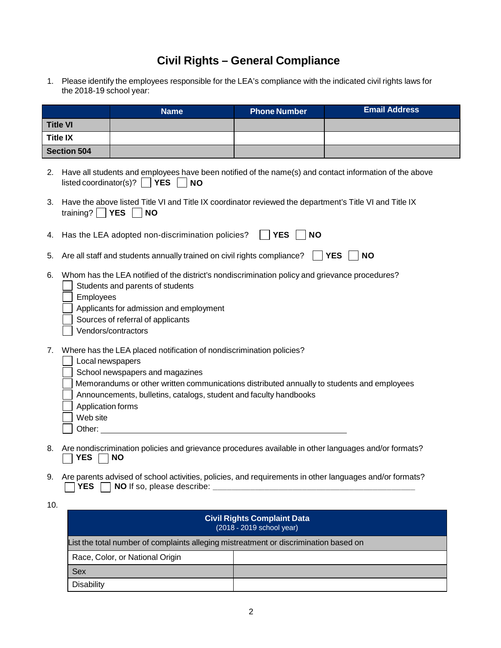## **Civil Rights – General Compliance**

 1. Please identify the employees responsible for the LEA's compliance with the indicated civil rights laws for the 2018-19 school year:

|                 |                                                                                                                                                                                                                                                        | <b>Name</b>                                                                                                                                                                                                                                                                | <b>Phone Number</b>     | <b>Email Address</b>    |  |
|-----------------|--------------------------------------------------------------------------------------------------------------------------------------------------------------------------------------------------------------------------------------------------------|----------------------------------------------------------------------------------------------------------------------------------------------------------------------------------------------------------------------------------------------------------------------------|-------------------------|-------------------------|--|
| <b>Title VI</b> |                                                                                                                                                                                                                                                        |                                                                                                                                                                                                                                                                            |                         |                         |  |
| <b>Title IX</b> |                                                                                                                                                                                                                                                        |                                                                                                                                                                                                                                                                            |                         |                         |  |
|                 | <b>Section 504</b>                                                                                                                                                                                                                                     |                                                                                                                                                                                                                                                                            |                         |                         |  |
| 2.              |                                                                                                                                                                                                                                                        | Have all students and employees have been notified of the name(s) and contact information of the above<br>listed coordinator(s)? $ $   YES<br><b>NO</b>                                                                                                                    |                         |                         |  |
| 3.              | Have the above listed Title VI and Title IX coordinator reviewed the department's Title VI and Title IX<br>training? $\Box$ YES<br><b>NO</b>                                                                                                           |                                                                                                                                                                                                                                                                            |                         |                         |  |
| 4.              |                                                                                                                                                                                                                                                        | Has the LEA adopted non-discrimination policies?                                                                                                                                                                                                                           | <b>YES</b><br><b>NO</b> |                         |  |
| 5.              |                                                                                                                                                                                                                                                        | Are all staff and students annually trained on civil rights compliance?                                                                                                                                                                                                    |                         | <b>YES</b><br><b>NO</b> |  |
| 6.              | Whom has the LEA notified of the district's nondiscrimination policy and grievance procedures?<br>Students and parents of students<br>Employees<br>Applicants for admission and employment<br>Sources of referral of applicants<br>Vendors/contractors |                                                                                                                                                                                                                                                                            |                         |                         |  |
| 7.              | Local newspapers<br>Application forms<br>Web site<br>Other:                                                                                                                                                                                            | Where has the LEA placed notification of nondiscrimination policies?<br>School newspapers and magazines<br>Memorandums or other written communications distributed annually to students and employees<br>Announcements, bulletins, catalogs, student and faculty handbooks |                         |                         |  |
| 8.              | YES                                                                                                                                                                                                                                                    | Are nondiscrimination policies and grievance procedures available in other languages and/or formats?<br><b>NO</b>                                                                                                                                                          |                         |                         |  |

 9. Are parents advised of school activities, policies, and requirements in other languages and/or formats? **The parents advised of school addwnes, policies, and requirements in other languages and/or format.** 

|                                                                                      | <b>Civil Rights Complaint Data</b><br>(2018 - 2019 school year) |  |
|--------------------------------------------------------------------------------------|-----------------------------------------------------------------|--|
| List the total number of complaints alleging mistreatment or discrimination based on |                                                                 |  |
| Race, Color, or National Origin                                                      |                                                                 |  |
| <b>Sex</b>                                                                           |                                                                 |  |
| Disability                                                                           |                                                                 |  |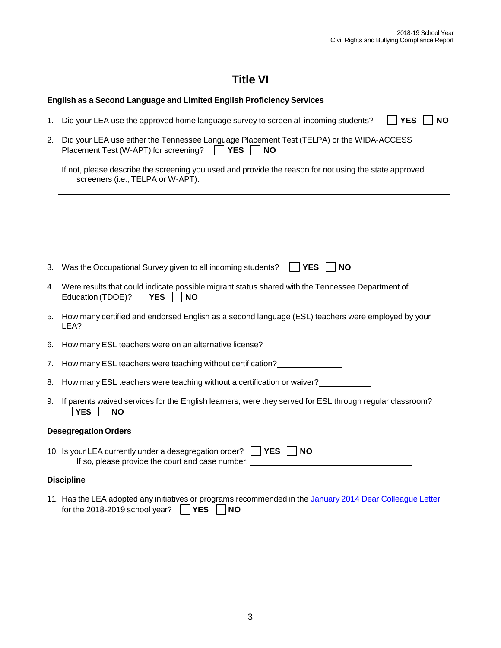⅂

## **Title VI**

#### **English as a Second Language and Limited English Proficiency Services**

- 1. Did your LEA use the approved home language survey to screen all incoming students?  $\Box$  YES  $\Box$  NO  $\Box$  YES  $\Box$  NO
- j  $\Box$  YES  $\Box$ 2. Did your LEA use either the Tennessee Language Placement Test (TELPA) or the WIDA-ACCESS Placement Test (W-APT) for screening?  $\Box$  **YES**  $\Box$  **NO**

| If not, please describe the screening you used and provide the reason for not using the state approved |  |
|--------------------------------------------------------------------------------------------------------|--|
| screeners (i.e., TELPA or W-APT).                                                                      |  |

| 3.                          | Was the Occupational Survey given to all incoming students? $\vert$   YES     NO                                                                                  |  |  |
|-----------------------------|-------------------------------------------------------------------------------------------------------------------------------------------------------------------|--|--|
| 4.                          | Were results that could indicate possible migrant status shared with the Tennessee Department of<br>Education (TDOE)? $\Box$ YES $\Box$ NO                        |  |  |
|                             | 5. How many certified and endorsed English as a second language (ESL) teachers were employed by your<br>LEA?                                                      |  |  |
|                             | 6. How many ESL teachers were on an alternative license?                                                                                                          |  |  |
|                             | 7. How many ESL teachers were teaching without certification?                                                                                                     |  |  |
| 8.                          | How many ESL teachers were teaching without a certification or waiver?                                                                                            |  |  |
|                             | 9. If parents waived services for the English learners, were they served for ESL through regular classroom?<br>YES     NO                                         |  |  |
| <b>Desegregation Orders</b> |                                                                                                                                                                   |  |  |
|                             | 10. Is your LEA currently under a desegregation order?     YES  <br><b>NO</b><br>If so, please provide the court and case number: _______________________________ |  |  |

#### **Discipline**

 $\sqrt{ }$ 

11. Has the LEA adopted any initiatives or programs recommended in the January 2014 Dear Colleague Letter  $\Box$  YES  $\Box$ for the 2018-2019 school year?  $\Box$  **YES**  $\Box$  **NO**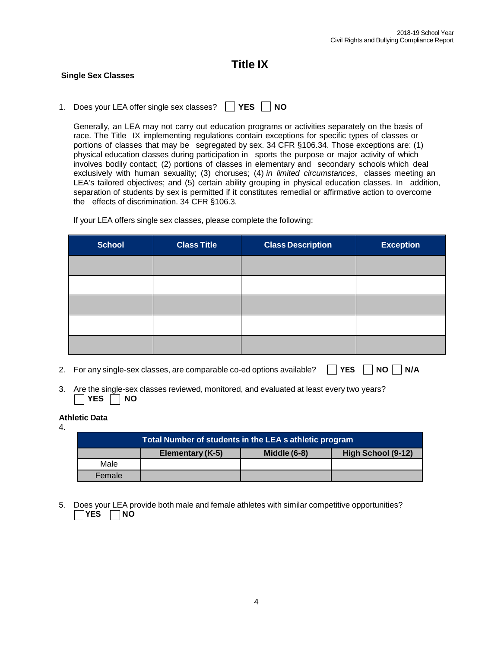## **Title IX**

#### **Single Sex Classes**

  $\Box$  YES  $\Box$ 1. Does your LEA offer single sex classes?  $\Box$  **YES**  $\Box$  **NO** 

 Generally, an LEA may not carry out education programs or activities separately on the basis of race. The Title IX implementing regulations contain exceptions for specific types of classes or portions of classes that may be segregated by sex. 34 CFR §106.34. Those exceptions are: (1) physical education classes during participation in sports the purpose or major activity of which involves bodily contact; (2) portions of classes in elementary and secondary schools which deal exclusively with human sexuality; (3) choruses; (4) *in limited circumstances*, classes meeting an LEA's tailored objectives; and (5) certain ability grouping in physical education classes. In addition, separation of students by sex is permitted if it constitutes remedial or affirmative action to overcome the effects of discrimination. 34 CFR §106.3.

| <b>School</b> | <b>Class Title</b> | <b>Class Description</b> | <b>Exception</b> |
|---------------|--------------------|--------------------------|------------------|
|               |                    |                          |                  |
|               |                    |                          |                  |
|               |                    |                          |                  |
|               |                    |                          |                  |
|               |                    |                          |                  |

If your LEA offers single sex classes, please complete the following:

- 2. For any single-sex classes, are comparable co-ed options available?  $\Box$  YES  $\Box$  NO  $\Box$  N/A
- 3. Are the single-sex classes reviewed, monitored, and evaluated at least every two years? **The the single-sex**<br> **YES** MO

#### **Athletic Data**

4.

| Total Number of students in the LEA s athletic program |                  |                     |                    |
|--------------------------------------------------------|------------------|---------------------|--------------------|
|                                                        | Elementary (K-5) | <b>Middle (6-8)</b> | High School (9-12) |
| Male                                                   |                  |                     |                    |
| Female                                                 |                  |                     |                    |

 5. Does your LEA provide both male and female athletes with similar competitive opportunities? **YES** NO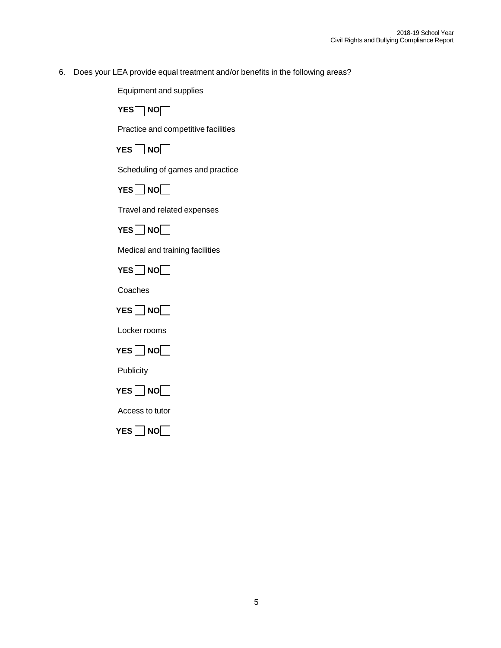6. Does your LEA provide equal treatment and/or benefits in the following areas?

Equipment and supplies

**YES** NO  $\Box$ 

Practice and competitive facilities

 $\Box$  NO $\Box$ **YES NO** 

Scheduling of games and practice



Travel and related expenses

J  $\Box$ NO $\Box$ YES∐ NO[

Medical and training facilities



Coaches



Locker rooms



**Publicity** 



Access to tutor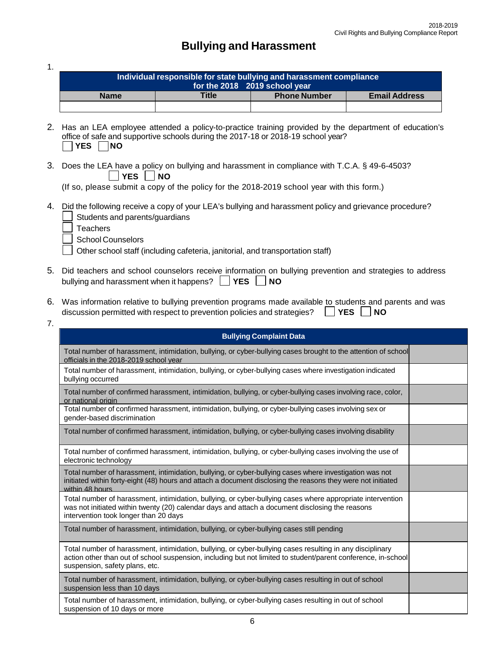## **Bullying and Harassment**

1.

| Individual responsible for state bullying and harassment compliance |              |                     |                      |
|---------------------------------------------------------------------|--------------|---------------------|----------------------|
| for the 2018 2019 school year                                       |              |                     |                      |
| <b>Name</b>                                                         | <b>Title</b> | <b>Phone Number</b> | <b>Email Address</b> |
|                                                                     |              |                     |                      |

- 2. Has an LEA employee attended a policy-to-practice training provided by the department of education's Solice of sale and **3**<br>**P**YES **NO** office of safe and supportive schools during the 2017-18 or 2018-19 school year?
- 3. Does the LEA have a policy on bullying and harassment in compliance with T.C.A. § 49-6-4503?  Does the LEA have a policy on bullying and harassment in compilance with 1.0.A.  $\overline{S}$  49-6<br>  $\overline{S}$  YES  $\overline{S}$  NO<br>
(If so, please submit a copy of the policy for the 2018-2019 school year with this form.) YES | NO

- 4. Did the following receive a copy of your LEA's bullying and harassment policy and grievance procedure? Students and parents/guardians
	- **Teachers** 
		- School Counselors

Other school staff (including cafeteria, janitorial, and transportation staff)

- 5. Did teachers and school counselors receive information on bullying prevention and strategies to address  $\Box$  YES  $\Box$ bullying and harassment when it happens?  $\Box$  **YES**  $\Box$  **NO**
- 6. Was information relative to bullying prevention programs made available to students and parents and was discussion permitted with respect to prevention policies and strategies?  $\Box$  **YES**  $\Box$  **NO** ||YES||NO
- 7.

| <b>Bullying Complaint Data</b>                                                                                                                                                                                                                               |  |
|--------------------------------------------------------------------------------------------------------------------------------------------------------------------------------------------------------------------------------------------------------------|--|
| Total number of harassment, intimidation, bullying, or cyber-bullying cases brought to the attention of school<br>officials in the 2018-2019 school year                                                                                                     |  |
| Total number of harassment, intimidation, bullying, or cyber-bullying cases where investigation indicated<br>bullying occurred                                                                                                                               |  |
| Total number of confirmed harassment, intimidation, bullying, or cyber-bullying cases involving race, color,<br>or national origin                                                                                                                           |  |
| Total number of confirmed harassment, intimidation, bullying, or cyber-bullying cases involving sex or<br>gender-based discrimination                                                                                                                        |  |
| Total number of confirmed harassment, intimidation, bullying, or cyber-bullying cases involving disability                                                                                                                                                   |  |
| Total number of confirmed harassment, intimidation, bullying, or cyber-bullying cases involving the use of<br>electronic technology                                                                                                                          |  |
| Total number of harassment, intimidation, bullying, or cyber-bullying cases where investigation was not<br>initiated within forty-eight (48) hours and attach a document disclosing the reasons they were not initiated<br>within 48 hours                   |  |
| Total number of harassment, intimidation, bullying, or cyber-bullying cases where appropriate intervention<br>was not initiated within twenty (20) calendar days and attach a document disclosing the reasons<br>intervention took longer than 20 days       |  |
| Total number of harassment, intimidation, bullying, or cyber-bullying cases still pending                                                                                                                                                                    |  |
| Total number of harassment, intimidation, bullying, or cyber-bullying cases resulting in any disciplinary<br>action other than out of school suspension, including but not limited to student/parent conference, in-school<br>suspension, safety plans, etc. |  |
| Total number of harassment, intimidation, bullying, or cyber-bullying cases resulting in out of school<br>suspension less than 10 days                                                                                                                       |  |
| Total number of harassment, intimidation, bullying, or cyber-bullying cases resulting in out of school<br>suspension of 10 days or more                                                                                                                      |  |